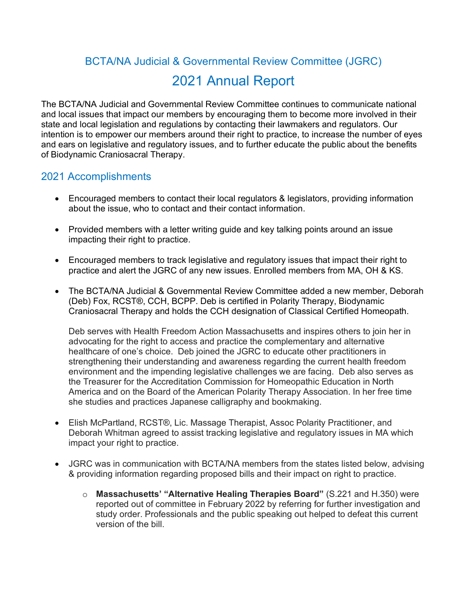## BCTA/NA Judicial & Governmental Review Committee (JGRC) 2021 Annual Report

The BCTA/NA Judicial and Governmental Review Committee continues to communicate national and local issues that impact our members by encouraging them to become more involved in their state and local legislation and regulations by contacting their lawmakers and regulators. Our intention is to empower our members around their right to practice, to increase the number of eyes and ears on legislative and regulatory issues, and to further educate the public about the benefits of Biodynamic Craniosacral Therapy.

## 2021 Accomplishments

- Encouraged members to contact their local regulators & legislators, providing information about the issue, who to contact and their contact information.
- Provided members with a letter writing guide and key talking points around an issue impacting their right to practice.
- Encouraged members to track legislative and regulatory issues that impact their right to practice and alert the JGRC of any new issues. Enrolled members from MA, OH & KS.
- The BCTA/NA Judicial & Governmental Review Committee added a new member, Deborah (Deb) Fox, RCST®, CCH, BCPP. Deb is certified in Polarity Therapy, Biodynamic Craniosacral Therapy and holds the CCH designation of Classical Certified Homeopath.

Deb serves with Health Freedom Action Massachusetts and inspires others to join her in advocating for the right to access and practice the complementary and alternative healthcare of one's choice. Deb joined the JGRC to educate other practitioners in strengthening their understanding and awareness regarding the current health freedom environment and the impending legislative challenges we are facing. Deb also serves as the Treasurer for the Accreditation Commission for Homeopathic Education in North America and on the Board of the American Polarity Therapy Association. In her free time she studies and practices Japanese calligraphy and bookmaking.

- Elish McPartland, RCST®, Lic. Massage Therapist, Assoc Polarity Practitioner, and Deborah Whitman agreed to assist tracking legislative and regulatory issues in MA which impact your right to practice.
- JGRC was in communication with BCTA/NA members from the states listed below, advising & providing information regarding proposed bills and their impact on right to practice.
	- o **Massachusetts' "Alternative Healing Therapies Board"** (S.221 and H.350) were reported out of committee in February 2022 by referring for further investigation and study order. Professionals and the public speaking out helped to defeat this current version of the bill.